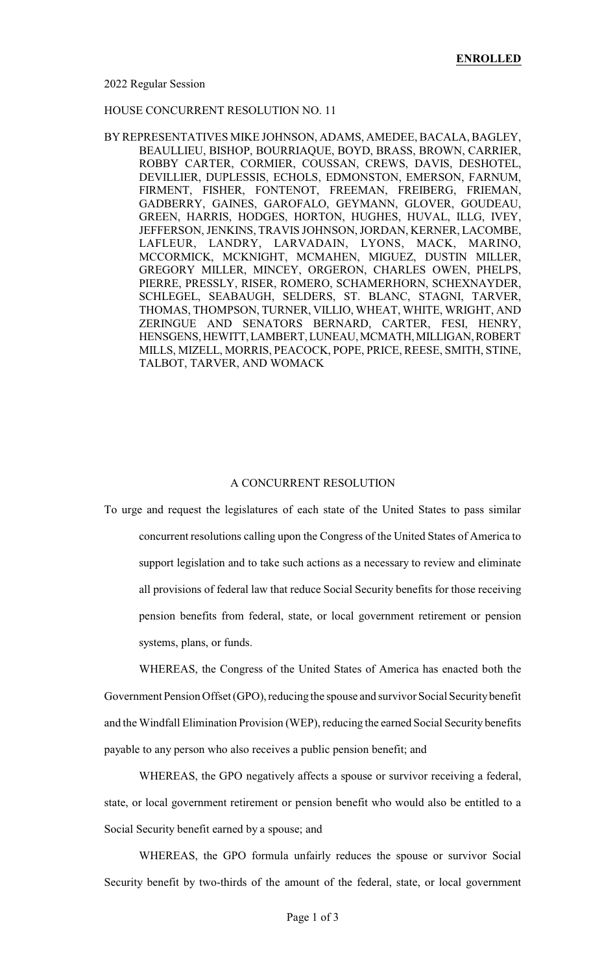## HOUSE CONCURRENT RESOLUTION NO. 11

BY REPRESENTATIVES MIKE JOHNSON, ADAMS, AMEDEE, BACALA, BAGLEY, BEAULLIEU, BISHOP, BOURRIAQUE, BOYD, BRASS, BROWN, CARRIER, ROBBY CARTER, CORMIER, COUSSAN, CREWS, DAVIS, DESHOTEL, DEVILLIER, DUPLESSIS, ECHOLS, EDMONSTON, EMERSON, FARNUM, FIRMENT, FISHER, FONTENOT, FREEMAN, FREIBERG, FRIEMAN, GADBERRY, GAINES, GAROFALO, GEYMANN, GLOVER, GOUDEAU, GREEN, HARRIS, HODGES, HORTON, HUGHES, HUVAL, ILLG, IVEY, JEFFERSON, JENKINS, TRAVIS JOHNSON, JORDAN, KERNER, LACOMBE, LAFLEUR, LANDRY, LARVADAIN, LYONS, MACK, MARINO, MCCORMICK, MCKNIGHT, MCMAHEN, MIGUEZ, DUSTIN MILLER, GREGORY MILLER, MINCEY, ORGERON, CHARLES OWEN, PHELPS, PIERRE, PRESSLY, RISER, ROMERO, SCHAMERHORN, SCHEXNAYDER, SCHLEGEL, SEABAUGH, SELDERS, ST. BLANC, STAGNI, TARVER, THOMAS, THOMPSON, TURNER, VILLIO, WHEAT, WHITE, WRIGHT, AND ZERINGUE AND SENATORS BERNARD, CARTER, FESI, HENRY, HENSGENS,HEWITT,LAMBERT,LUNEAU,MCMATH,MILLIGAN,ROBERT MILLS, MIZELL, MORRIS, PEACOCK, POPE, PRICE, REESE, SMITH, STINE, TALBOT, TARVER, AND WOMACK

## A CONCURRENT RESOLUTION

To urge and request the legislatures of each state of the United States to pass similar concurrent resolutions calling upon the Congress of the United States of America to support legislation and to take such actions as a necessary to review and eliminate all provisions of federal law that reduce Social Security benefits for those receiving pension benefits from federal, state, or local government retirement or pension systems, plans, or funds.

WHEREAS, the Congress of the United States of America has enacted both the Government Pension Offset (GPO), reducing the spouse and survivor Social Securitybenefit and the Windfall Elimination Provision (WEP), reducing the earned Social Security benefits payable to any person who also receives a public pension benefit; and

WHEREAS, the GPO negatively affects a spouse or survivor receiving a federal, state, or local government retirement or pension benefit who would also be entitled to a Social Security benefit earned by a spouse; and

WHEREAS, the GPO formula unfairly reduces the spouse or survivor Social Security benefit by two-thirds of the amount of the federal, state, or local government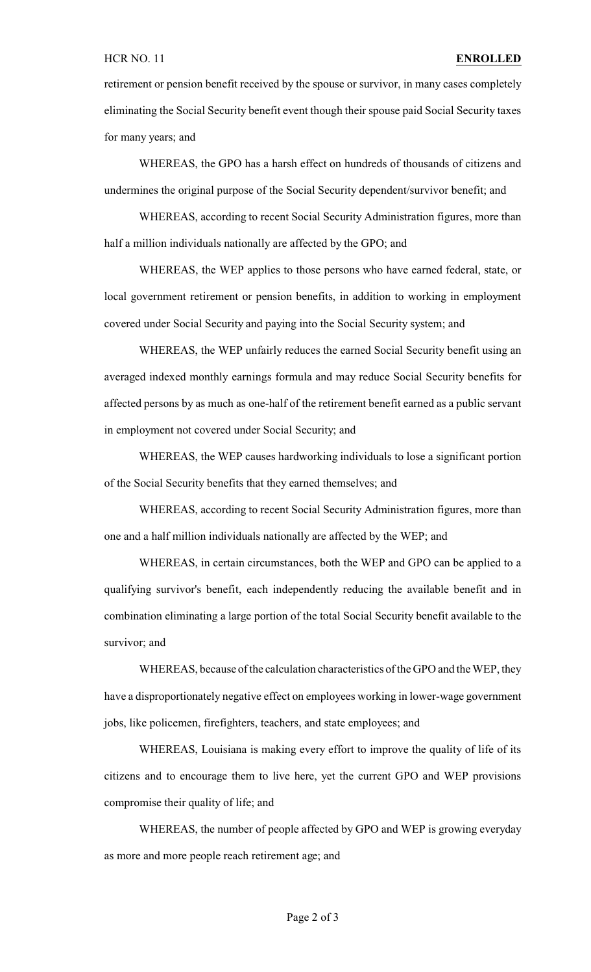retirement or pension benefit received by the spouse or survivor, in many cases completely eliminating the Social Security benefit event though their spouse paid Social Security taxes for many years; and

WHEREAS, the GPO has a harsh effect on hundreds of thousands of citizens and undermines the original purpose of the Social Security dependent/survivor benefit; and

WHEREAS, according to recent Social Security Administration figures, more than half a million individuals nationally are affected by the GPO; and

WHEREAS, the WEP applies to those persons who have earned federal, state, or local government retirement or pension benefits, in addition to working in employment covered under Social Security and paying into the Social Security system; and

WHEREAS, the WEP unfairly reduces the earned Social Security benefit using an averaged indexed monthly earnings formula and may reduce Social Security benefits for affected persons by as much as one-half of the retirement benefit earned as a public servant in employment not covered under Social Security; and

WHEREAS, the WEP causes hardworking individuals to lose a significant portion of the Social Security benefits that they earned themselves; and

WHEREAS, according to recent Social Security Administration figures, more than one and a half million individuals nationally are affected by the WEP; and

WHEREAS, in certain circumstances, both the WEP and GPO can be applied to a qualifying survivor's benefit, each independently reducing the available benefit and in combination eliminating a large portion of the total Social Security benefit available to the survivor; and

WHEREAS, because of the calculation characteristics of the GPO and the WEP, they have a disproportionately negative effect on employees working in lower-wage government jobs, like policemen, firefighters, teachers, and state employees; and

WHEREAS, Louisiana is making every effort to improve the quality of life of its citizens and to encourage them to live here, yet the current GPO and WEP provisions compromise their quality of life; and

WHEREAS, the number of people affected by GPO and WEP is growing everyday as more and more people reach retirement age; and